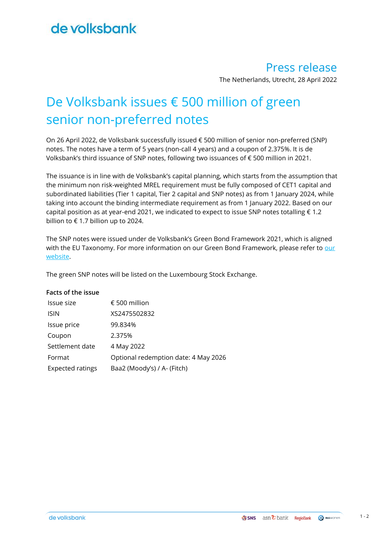## de volksbank

### Press release

The Netherlands, Utrecht, 28 April 2022

# De Volksbank issues € 500 million of green senior non-preferred notes

On 26 April 2022, de Volksbank successfully issued € 500 million of senior non-preferred (SNP) notes. The notes have a term of 5 years (non-call 4 years) and a coupon of 2.375%. It is de Volksbank's third issuance of SNP notes, following two issuances of € 500 million in 2021.

The issuance is in line with de Volksbank's capital planning, which starts from the assumption that the minimum non risk-weighted MREL requirement must be fully composed of CET1 capital and subordinated liabilities (Tier 1 capital, Tier 2 capital and SNP notes) as from 1 January 2024, while taking into account the binding intermediate requirement as from 1 January 2022. Based on our capital position as at year-end 2021, we indicated to expect to issue SNP notes totalling  $\epsilon$  1.2 billion to € 1.7 billion up to 2024.

The SNP notes were issued under de Volksbank's Green Bond Framework 2021, which is aligned with the EU Taxonomy. For more information on [our](https://www.devolksbank.nl/en/investor-relations/green-bonds) Green Bond Framework, please refer to our [website.](https://www.devolksbank.nl/en/investor-relations/green-bonds)

The green SNP notes will be listed on the Luxembourg Stock Exchange.

### **Facts of the issue**

| Issue size              | € 500 million                        |
|-------------------------|--------------------------------------|
| <b>ISIN</b>             | XS2475502832                         |
| Issue price             | 99.834%                              |
| Coupon                  | 2.375%                               |
| Settlement date         | 4 May 2022                           |
| Format                  | Optional redemption date: 4 May 2026 |
| <b>Expected ratings</b> | Baa2 (Moody's) / A- (Fitch)          |